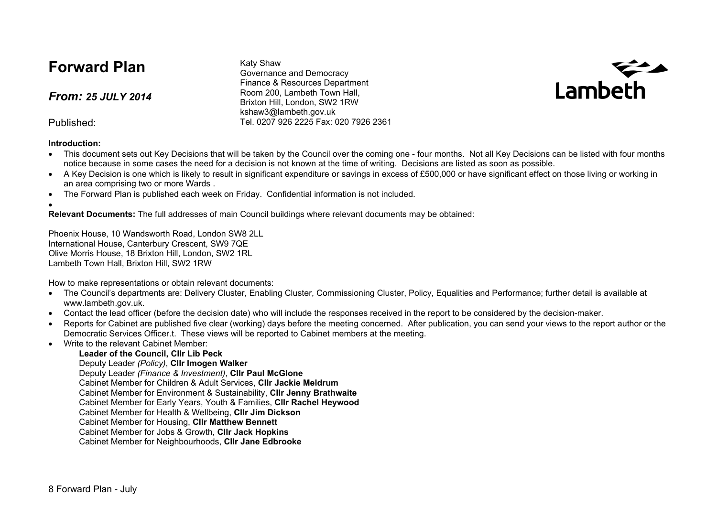*From: 25 JULY 2014*

Published:

### **Introduction:**

• This document sets out Key Decisions that will be taken by the Council over the coming one - four months. Not all Key Decisions can be listed with four months notice because in some cases the need for a decision is not known at the time of writing. Decisions are listed as soon as possible.

Lambeth

- A Key Decision is one which is likely to result in significant expenditure or savings in excess of £500,000 or have significant effect on those living or working in an area comprising two or more Wards .
- The Forward Plan is published each week on Friday. Confidential information is not included.

 $\bullet$ **Relevant Documents:** The full addresses of main Council buildings where relevant documents may be obtained:

Katy Shaw

Governance and Democracy Finance & Resources Department Room 200, Lambeth Town Hall, Brixton Hill, London, SW2 1RW kshaw3@lambeth.gov.uk

Tel. 0207 926 2225 Fax: 020 7926 2361

Phoenix House, 10 Wandsworth Road, London SW8 2LL International House, Canterbury Crescent, SW9 7QE Olive Morris House, 18 Brixton Hill, London, SW2 1RL Lambeth Town Hall, Brixton Hill, SW2 1RW

How to make representations or obtain relevant documents:

- The Council's departments are: Delivery Cluster, Enabling Cluster, Commissioning Cluster, Policy, Equalities and Performance; further detail is available at [www.lambeth.gov.uk](http://www.lambeth.gov.uk/).
- Contact the lead officer (before the decision date) who will include the responses received in the report to be considered by the decision-maker.
- Reports for Cabinet are published five clear (working) days before the meeting concerned. After publication, you can send your views to the report author or the Democratic Services Officer.t. These views will be reported to Cabinet members at the meeting.
- Write to the relevant Cabinet Member:

**Leader of the Council, Cllr Lib Peck**

Deputy Leader *(Policy)*, **Cllr Imogen Walker**

Deputy Leader *(Finance & Investment)*, **Cllr Paul McGlone**

Cabinet Member for Children & Adult Services, **Cllr Jackie Meldrum**

Cabinet Member for Environment & Sustainability, **Cllr Jenny Brathwaite**

Cabinet Member for Early Years, Youth & Families, **Cllr Rachel Heywood**

Cabinet Member for Health & Wellbeing, **Cllr Jim Dickson**

Cabinet Member for Housing, **Cllr Matthew Bennett**

Cabinet Member for Jobs & Growth, **Cllr Jack Hopkins**

Cabinet Member for Neighbourhoods, **Cllr Jane Edbrooke**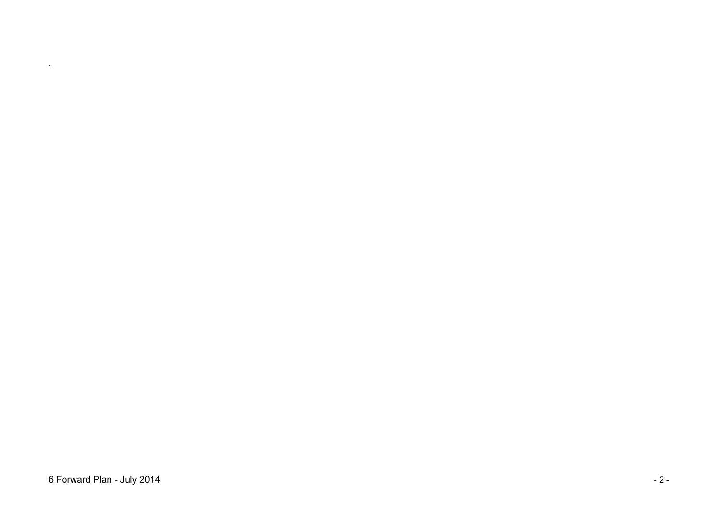6 Forward Plan - July 2014 - 2 -

.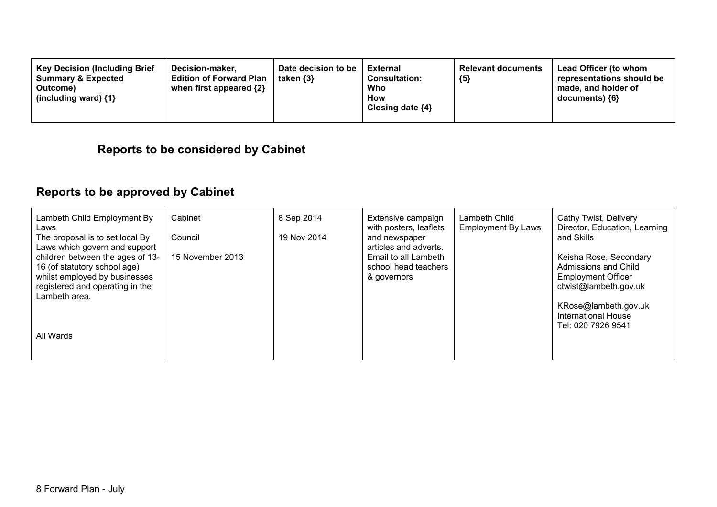| <b>Key Decision (Including Brief</b><br>Decision-maker,<br><b>Summary &amp; Expected</b><br><b>Edition of Forward Plan</b><br>when first appeared {2}<br>Outcome)<br>(including ward) $\{1\}$ | Date decision to be<br>taken $\{3\}$ | External<br><b>Consultation:</b><br>Who<br>How<br>Closing date $\{4\}$ | <b>Relevant documents</b><br>${5}$ | <b>Lead Officer (to whom</b><br>representations should be<br>made, and holder of<br>$documents)$ {6} |
|-----------------------------------------------------------------------------------------------------------------------------------------------------------------------------------------------|--------------------------------------|------------------------------------------------------------------------|------------------------------------|------------------------------------------------------------------------------------------------------|
|-----------------------------------------------------------------------------------------------------------------------------------------------------------------------------------------------|--------------------------------------|------------------------------------------------------------------------|------------------------------------|------------------------------------------------------------------------------------------------------|

# **Reports to be considered by Cabinet**

# **Reports to be approved by Cabinet**

| Lambeth Child Employment By<br>Laws<br>The proposal is to set local By                                            | Cabinet<br>Council | 8 Sep 2014<br>19 Nov 2014 | Extensive campaign<br>with posters, leaflets<br>and newspaper | Lambeth Child<br><b>Employment By Laws</b> | Cathy Twist, Delivery<br>Director, Education, Learning<br>and Skills       |
|-------------------------------------------------------------------------------------------------------------------|--------------------|---------------------------|---------------------------------------------------------------|--------------------------------------------|----------------------------------------------------------------------------|
| Laws which govern and support<br>children between the ages of 13-                                                 | 15 November 2013   |                           | articles and adverts.<br>Email to all Lambeth                 |                                            | Keisha Rose, Secondary                                                     |
| 16 (of statutory school age)<br>whilst employed by businesses<br>registered and operating in the<br>Lambeth area. |                    |                           | school head teachers<br>& governors                           |                                            | Admissions and Child<br><b>Employment Officer</b><br>ctwist@lambeth.gov.uk |
|                                                                                                                   |                    |                           |                                                               |                                            | KRose@lambeth.gov.uk<br>International House<br>Tel: 020 7926 9541          |
| All Wards                                                                                                         |                    |                           |                                                               |                                            |                                                                            |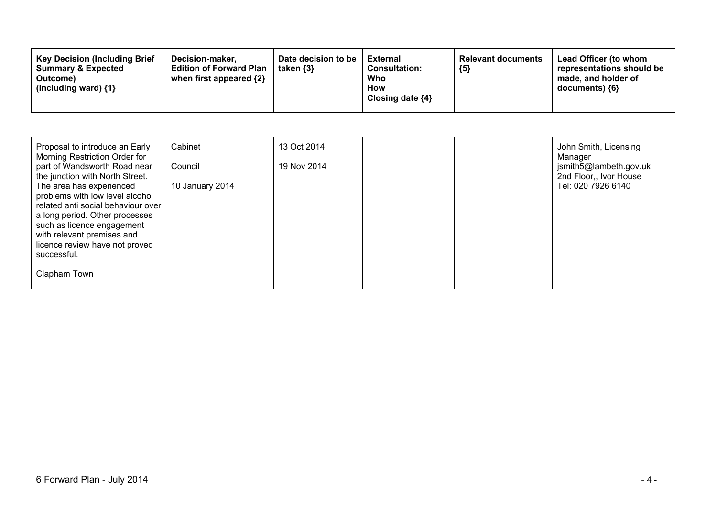| Proposal to introduce an Early<br>Morning Restriction Order for<br>part of Wandsworth Road near<br>the junction with North Street.<br>The area has experienced<br>problems with low level alcohol<br>related anti social behaviour over<br>a long period. Other processes<br>such as licence engagement | Cabinet<br>Council<br>10 January 2014 | 13 Oct 2014<br>19 Nov 2014 |  | John Smith, Licensing<br>Manager<br>jsmith5@lambeth.gov.uk<br>2nd Floor,, Ivor House<br>Tel: 020 7926 6140 |
|---------------------------------------------------------------------------------------------------------------------------------------------------------------------------------------------------------------------------------------------------------------------------------------------------------|---------------------------------------|----------------------------|--|------------------------------------------------------------------------------------------------------------|
| with relevant premises and<br>licence review have not proved<br>successful.                                                                                                                                                                                                                             |                                       |                            |  |                                                                                                            |
| Clapham Town                                                                                                                                                                                                                                                                                            |                                       |                            |  |                                                                                                            |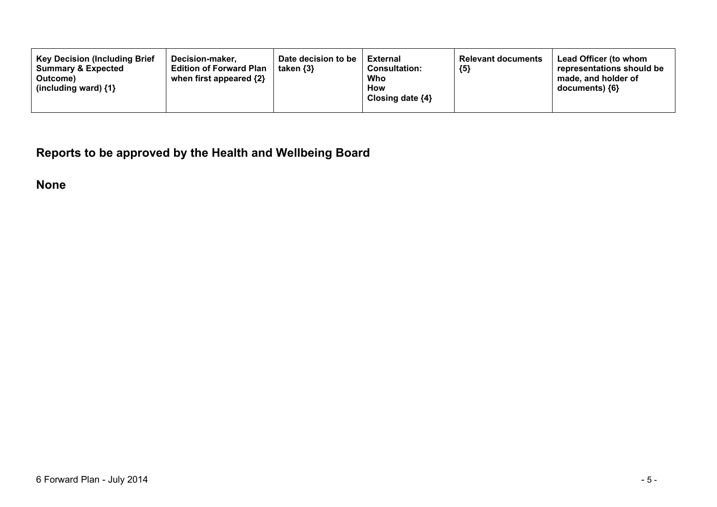**Reports to be approved by the Health and Wellbeing Board**

**None**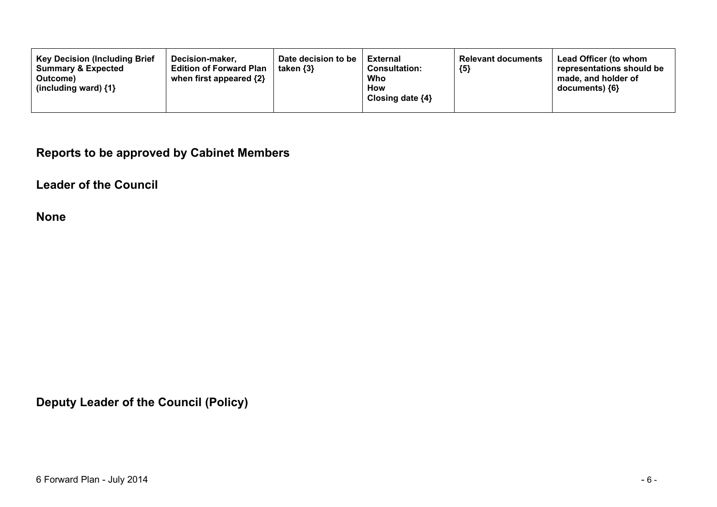| <b>Key Decision (Including Brief</b><br>Decision-maker.<br><b>Summary &amp; Expected</b><br><b>Edition of Forward Plan</b><br>when first appeared {2}<br>Outcome)<br>(including ward) $\{1\}$ | Date decision to be<br>taken $\{3\}$ | <b>External</b><br><b>Consultation:</b><br>Who<br><b>How</b><br>Closing date $\{4\}$ | <b>Relevant documents</b><br>${5}$ | Lead Officer (to whom<br>representations should be<br>made, and holder of<br>$documents)$ {6} |
|-----------------------------------------------------------------------------------------------------------------------------------------------------------------------------------------------|--------------------------------------|--------------------------------------------------------------------------------------|------------------------------------|-----------------------------------------------------------------------------------------------|
|-----------------------------------------------------------------------------------------------------------------------------------------------------------------------------------------------|--------------------------------------|--------------------------------------------------------------------------------------|------------------------------------|-----------------------------------------------------------------------------------------------|

**Reports to be approved by Cabinet Members**

**Leader of the Council**

**None**

**Deputy Leader of the Council (Policy)**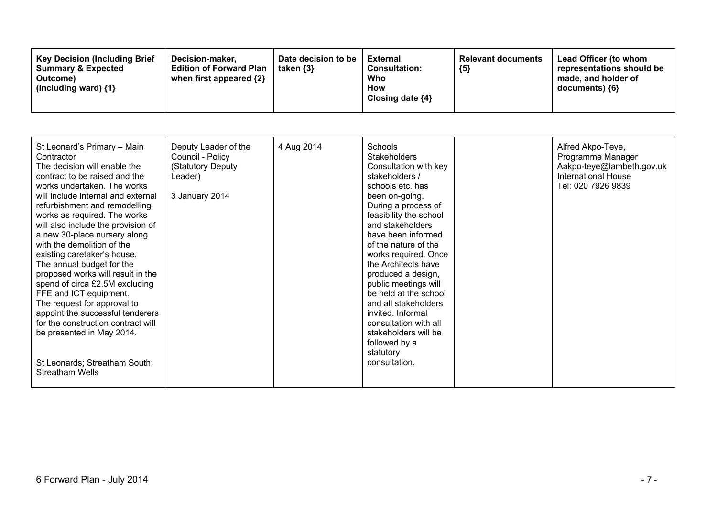| <b>Key Decision (Including Brief)</b><br>Decision-maker,<br><b>Summary &amp; Expected</b><br><b>Edition of Forward Plan</b><br>when first appeared $\{2\}$<br>Outcome)<br>(including ward) $\{1\}$ | Date decision to be<br>taken $\{3\}$ | <b>External</b><br><b>Consultation:</b><br>Who<br>How<br>Closing date ${4}$ | <b>Relevant documents</b><br>${5}$ | Lead Officer (to whom<br>representations should be<br>made, and holder of<br>documents) ${6}$ |
|----------------------------------------------------------------------------------------------------------------------------------------------------------------------------------------------------|--------------------------------------|-----------------------------------------------------------------------------|------------------------------------|-----------------------------------------------------------------------------------------------|
|----------------------------------------------------------------------------------------------------------------------------------------------------------------------------------------------------|--------------------------------------|-----------------------------------------------------------------------------|------------------------------------|-----------------------------------------------------------------------------------------------|

| St Leonard's Primary - Main<br>Contractor<br>The decision will enable the<br>contract to be raised and the<br>works undertaken. The works<br>will include internal and external<br>refurbishment and remodelling<br>works as required. The works<br>will also include the provision of<br>a new 30-place nursery along<br>with the demolition of the<br>existing caretaker's house.<br>The annual budget for the<br>proposed works will result in the<br>spend of circa £2.5M excluding<br>FFE and ICT equipment.<br>The request for approval to<br>appoint the successful tenderers<br>for the construction contract will<br>be presented in May 2014.<br>St Leonards; Streatham South;<br><b>Streatham Wells</b> | Deputy Leader of the<br>Council - Policy<br>(Statutory Deputy<br>Leader)<br>3 January 2014 | 4 Aug 2014 | Schools<br><b>Stakeholders</b><br>Consultation with key<br>stakeholders /<br>schools etc. has<br>been on-going.<br>During a process of<br>feasibility the school<br>and stakeholders<br>have been informed<br>of the nature of the<br>works required. Once<br>the Architects have<br>produced a design,<br>public meetings will<br>be held at the school<br>and all stakeholders<br>invited. Informal<br>consultation with all<br>stakeholders will be<br>followed by a<br>statutory<br>consultation. |  | Alfred Akpo-Teye,<br>Programme Manager<br>Aakpo-teye@lambeth.gov.uk<br>International House<br>Tel: 020 7926 9839 |
|--------------------------------------------------------------------------------------------------------------------------------------------------------------------------------------------------------------------------------------------------------------------------------------------------------------------------------------------------------------------------------------------------------------------------------------------------------------------------------------------------------------------------------------------------------------------------------------------------------------------------------------------------------------------------------------------------------------------|--------------------------------------------------------------------------------------------|------------|-------------------------------------------------------------------------------------------------------------------------------------------------------------------------------------------------------------------------------------------------------------------------------------------------------------------------------------------------------------------------------------------------------------------------------------------------------------------------------------------------------|--|------------------------------------------------------------------------------------------------------------------|
|--------------------------------------------------------------------------------------------------------------------------------------------------------------------------------------------------------------------------------------------------------------------------------------------------------------------------------------------------------------------------------------------------------------------------------------------------------------------------------------------------------------------------------------------------------------------------------------------------------------------------------------------------------------------------------------------------------------------|--------------------------------------------------------------------------------------------|------------|-------------------------------------------------------------------------------------------------------------------------------------------------------------------------------------------------------------------------------------------------------------------------------------------------------------------------------------------------------------------------------------------------------------------------------------------------------------------------------------------------------|--|------------------------------------------------------------------------------------------------------------------|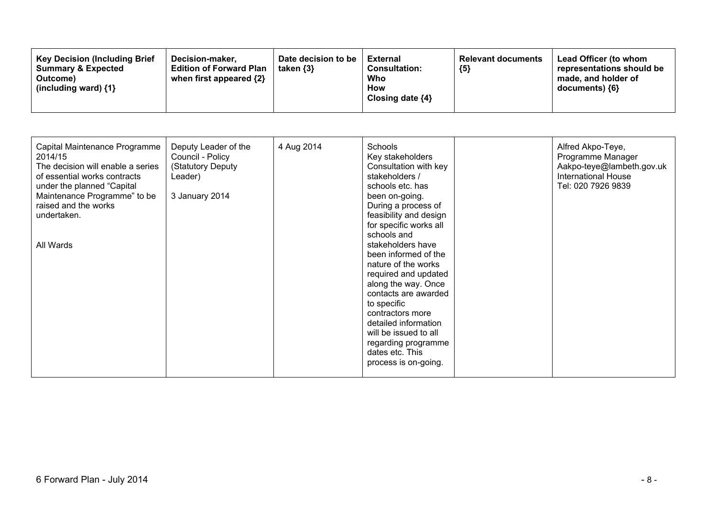| <b>Key Decision (Including Brief</b><br>Decision-maker,<br><b>Summary &amp; Expected</b><br><b>Edition of Forward Plan</b><br>when first appeared $\{2\}$<br>Outcome)<br>(including ward) $\{1\}$ | Date decision to be<br>taken $\{3\}$ | External<br><b>Consultation:</b><br>Who<br>How<br>Closing date ${4}$ | <b>Relevant documents</b><br>${5}$ | Lead Officer (to whom<br>representations should be<br>made, and holder of<br>documents) ${6}$ |
|---------------------------------------------------------------------------------------------------------------------------------------------------------------------------------------------------|--------------------------------------|----------------------------------------------------------------------|------------------------------------|-----------------------------------------------------------------------------------------------|
|---------------------------------------------------------------------------------------------------------------------------------------------------------------------------------------------------|--------------------------------------|----------------------------------------------------------------------|------------------------------------|-----------------------------------------------------------------------------------------------|

| Capital Maintenance Programme<br>2014/15<br>The decision will enable a series<br>of essential works contracts<br>under the planned "Capital<br>Maintenance Programme" to be<br>raised and the works<br>undertaken.<br>All Wards | Deputy Leader of the<br>Council - Policy<br>(Statutory Deputy<br>Leader)<br>3 January 2014 | 4 Aug 2014 | Schools<br>Key stakeholders<br>Consultation with key<br>stakeholders /<br>schools etc. has<br>been on-going.<br>During a process of<br>feasibility and design<br>for specific works all<br>schools and<br>stakeholders have<br>been informed of the<br>nature of the works<br>required and updated<br>along the way. Once<br>contacts are awarded<br>to specific<br>contractors more<br>detailed information<br>will be issued to all<br>regarding programme<br>dates etc. This<br>process is on-going. |  | Alfred Akpo-Teye,<br>Programme Manager<br>Aakpo-teye@lambeth.gov.uk<br><b>International House</b><br>Tel: 020 7926 9839 |
|---------------------------------------------------------------------------------------------------------------------------------------------------------------------------------------------------------------------------------|--------------------------------------------------------------------------------------------|------------|---------------------------------------------------------------------------------------------------------------------------------------------------------------------------------------------------------------------------------------------------------------------------------------------------------------------------------------------------------------------------------------------------------------------------------------------------------------------------------------------------------|--|-------------------------------------------------------------------------------------------------------------------------|
|---------------------------------------------------------------------------------------------------------------------------------------------------------------------------------------------------------------------------------|--------------------------------------------------------------------------------------------|------------|---------------------------------------------------------------------------------------------------------------------------------------------------------------------------------------------------------------------------------------------------------------------------------------------------------------------------------------------------------------------------------------------------------------------------------------------------------------------------------------------------------|--|-------------------------------------------------------------------------------------------------------------------------|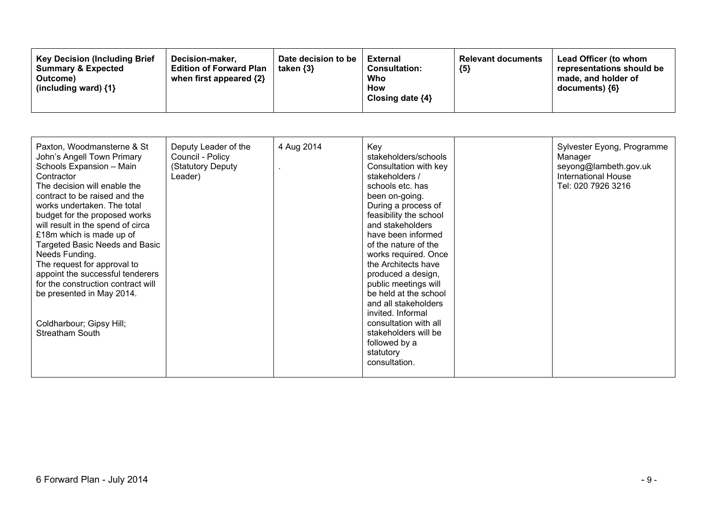| Paxton, Woodmansterne & St<br>John's Angell Town Primary<br>Schools Expansion - Main<br>Contractor<br>The decision will enable the<br>contract to be raised and the<br>works undertaken. The total<br>budget for the proposed works<br>will result in the spend of circa<br>£18m which is made up of<br><b>Targeted Basic Needs and Basic</b><br>Needs Funding.<br>The request for approval to<br>appoint the successful tenderers<br>for the construction contract will<br>be presented in May 2014.<br>Coldharbour; Gipsy Hill;<br>Streatham South | Deputy Leader of the<br>Council - Policy<br>(Statutory Deputy)<br>Leader) | 4 Aug 2014 | Key<br>stakeholders/schools<br>Consultation with key<br>stakeholders /<br>schools etc. has<br>been on-going.<br>During a process of<br>feasibility the school<br>and stakeholders<br>have been informed<br>of the nature of the<br>works required. Once<br>the Architects have<br>produced a design,<br>public meetings will<br>be held at the school<br>and all stakeholders<br>invited. Informal<br>consultation with all<br>stakeholders will be<br>followed by a<br>statutory<br>consultation. |  | Sylvester Eyong, Programme<br>Manager<br>seyong@lambeth.gov.uk<br>International House<br>Tel: 020 7926 3216 |
|------------------------------------------------------------------------------------------------------------------------------------------------------------------------------------------------------------------------------------------------------------------------------------------------------------------------------------------------------------------------------------------------------------------------------------------------------------------------------------------------------------------------------------------------------|---------------------------------------------------------------------------|------------|----------------------------------------------------------------------------------------------------------------------------------------------------------------------------------------------------------------------------------------------------------------------------------------------------------------------------------------------------------------------------------------------------------------------------------------------------------------------------------------------------|--|-------------------------------------------------------------------------------------------------------------|
|------------------------------------------------------------------------------------------------------------------------------------------------------------------------------------------------------------------------------------------------------------------------------------------------------------------------------------------------------------------------------------------------------------------------------------------------------------------------------------------------------------------------------------------------------|---------------------------------------------------------------------------|------------|----------------------------------------------------------------------------------------------------------------------------------------------------------------------------------------------------------------------------------------------------------------------------------------------------------------------------------------------------------------------------------------------------------------------------------------------------------------------------------------------------|--|-------------------------------------------------------------------------------------------------------------|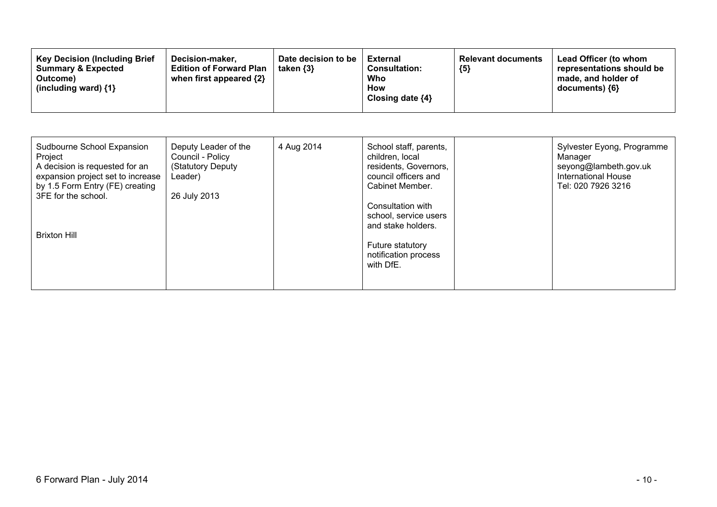| <b>Key Decision (Including Brief)</b><br>Decision-maker,<br><b>Summary &amp; Expected</b><br><b>Edition of Forward Plan</b><br>when first appeared {2}<br>Outcome)<br>(including ward) $\{1\}$ | Date decision to be<br>taken $\{3\}$ | <b>External</b><br><b>Consultation:</b><br>Who<br>How<br>Closing date $\{4\}$ | <b>Relevant documents</b><br>${5}$ | <b>Lead Officer (to whom</b><br>representations should be<br>made, and holder of<br>documents) ${6}$ |
|------------------------------------------------------------------------------------------------------------------------------------------------------------------------------------------------|--------------------------------------|-------------------------------------------------------------------------------|------------------------------------|------------------------------------------------------------------------------------------------------|
|------------------------------------------------------------------------------------------------------------------------------------------------------------------------------------------------|--------------------------------------|-------------------------------------------------------------------------------|------------------------------------|------------------------------------------------------------------------------------------------------|

| Sudbourne School Expansion<br>Project<br>A decision is requested for an<br>expansion project set to increase<br>by 1.5 Form Entry (FE) creating<br>3FE for the school. | Deputy Leader of the<br>Council - Policy<br>(Statutory Deputy)<br>Leader)<br>26 July 2013 | 4 Aug 2014 | School staff, parents,<br>children, local<br>residents, Governors,<br>council officers and<br>Cabinet Member.             | Sylvester Eyong, Programme<br>Manager<br>seyong@lambeth.gov.uk<br><b>International House</b><br>Tel: 020 7926 3216 |
|------------------------------------------------------------------------------------------------------------------------------------------------------------------------|-------------------------------------------------------------------------------------------|------------|---------------------------------------------------------------------------------------------------------------------------|--------------------------------------------------------------------------------------------------------------------|
| <b>Brixton Hill</b>                                                                                                                                                    |                                                                                           |            | Consultation with<br>school, service users<br>and stake holders.<br>Future statutory<br>notification process<br>with DfE. |                                                                                                                    |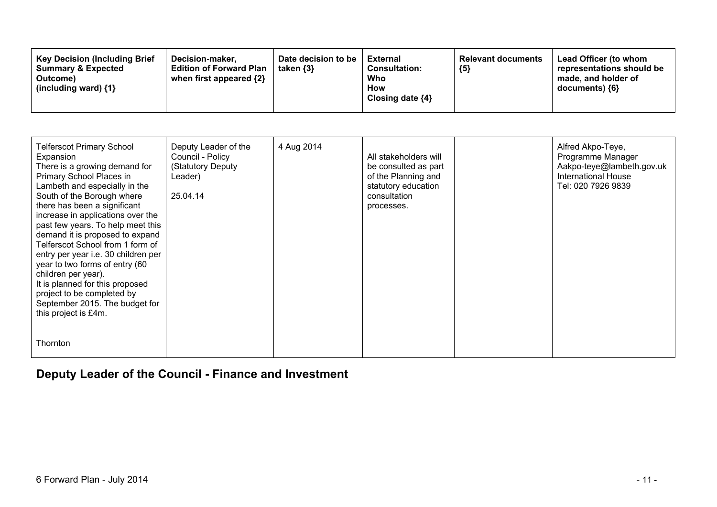| <b>Key Decision (Including Brief</b><br>Decision-maker.<br><b>Summary &amp; Expected</b><br><b>Edition of Forward Plan</b><br>when first appeared {2}<br>Outcome)<br>(including ward) $\{1\}$ | Date decision to be<br>taken $\{3\}$ | External<br><b>Consultation:</b><br>Who<br><b>How</b><br>Closing date $\{4\}$ | <b>Relevant documents</b><br>${5}$ | Lead Officer (to whom<br>representations should be<br>made, and holder of<br>documents) ${6}$ |
|-----------------------------------------------------------------------------------------------------------------------------------------------------------------------------------------------|--------------------------------------|-------------------------------------------------------------------------------|------------------------------------|-----------------------------------------------------------------------------------------------|
|-----------------------------------------------------------------------------------------------------------------------------------------------------------------------------------------------|--------------------------------------|-------------------------------------------------------------------------------|------------------------------------|-----------------------------------------------------------------------------------------------|

| <b>Telferscot Primary School</b><br>Expansion<br>There is a growing demand for<br>Primary School Places in<br>Lambeth and especially in the<br>South of the Borough where<br>there has been a significant<br>increase in applications over the<br>past few years. To help meet this<br>demand it is proposed to expand<br>Telferscot School from 1 form of<br>entry per year i.e. 30 children per<br>year to two forms of entry (60<br>children per year).<br>It is planned for this proposed<br>project to be completed by<br>September 2015. The budget for<br>this project is £4m. | Deputy Leader of the<br>Council - Policy<br>(Statutory Deputy<br>Leader)<br>25.04.14 | 4 Aug 2014 | All stakeholders will<br>be consulted as part<br>of the Planning and<br>statutory education<br>consultation<br>processes. | Alfred Akpo-Teye,<br>Programme Manager<br>Aakpo-teye@lambeth.gov.uk<br><b>International House</b><br>Tel: 020 7926 9839 |
|---------------------------------------------------------------------------------------------------------------------------------------------------------------------------------------------------------------------------------------------------------------------------------------------------------------------------------------------------------------------------------------------------------------------------------------------------------------------------------------------------------------------------------------------------------------------------------------|--------------------------------------------------------------------------------------|------------|---------------------------------------------------------------------------------------------------------------------------|-------------------------------------------------------------------------------------------------------------------------|
| <b>Thornton</b>                                                                                                                                                                                                                                                                                                                                                                                                                                                                                                                                                                       |                                                                                      |            |                                                                                                                           |                                                                                                                         |

**Deputy Leader of the Council - Finance and Investment**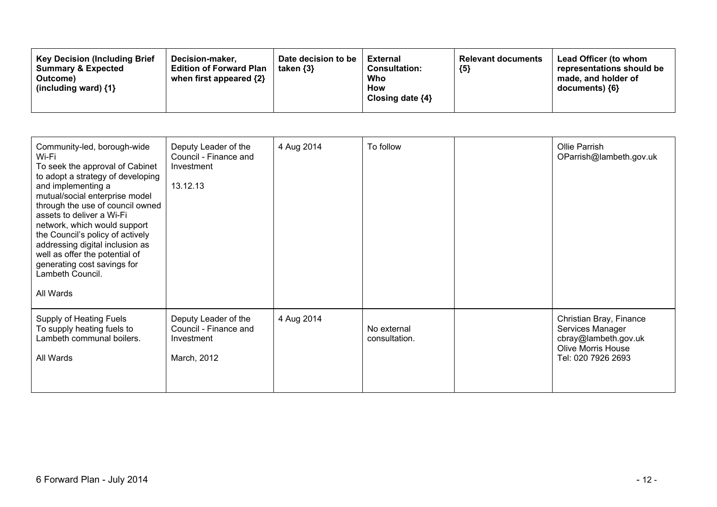| Community-led, borough-wide<br>Wi-Fi<br>To seek the approval of Cabinet<br>to adopt a strategy of developing<br>and implementing a<br>mutual/social enterprise model<br>through the use of council owned<br>assets to deliver a Wi-Fi<br>network, which would support<br>the Council's policy of actively<br>addressing digital inclusion as<br>well as offer the potential of<br>generating cost savings for<br>Lambeth Council.<br>All Wards | Deputy Leader of the<br>Council - Finance and<br>Investment<br>13.12.13    | 4 Aug 2014 | To follow                    | Ollie Parrish<br>OParrish@lambeth.gov.uk                                                                               |
|------------------------------------------------------------------------------------------------------------------------------------------------------------------------------------------------------------------------------------------------------------------------------------------------------------------------------------------------------------------------------------------------------------------------------------------------|----------------------------------------------------------------------------|------------|------------------------------|------------------------------------------------------------------------------------------------------------------------|
| Supply of Heating Fuels<br>To supply heating fuels to<br>Lambeth communal boilers.<br>All Wards                                                                                                                                                                                                                                                                                                                                                | Deputy Leader of the<br>Council - Finance and<br>Investment<br>March, 2012 | 4 Aug 2014 | No external<br>consultation. | Christian Bray, Finance<br>Services Manager<br>cbray@lambeth.gov.uk<br><b>Olive Morris House</b><br>Tel: 020 7926 2693 |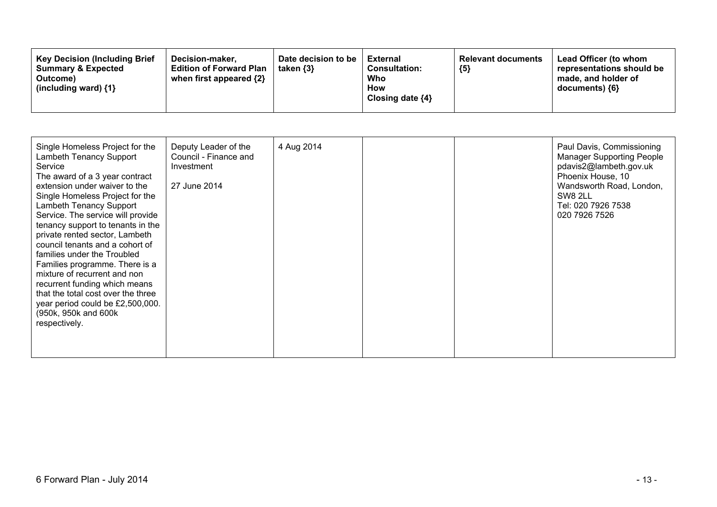| <b>Key Decision (Including Brief)</b><br>Decision-maker.<br><b>Summary &amp; Expected</b><br><b>Edition of Forward Plan</b><br>when first appeared {2}<br>Outcome)<br>(including ward) $\{1\}$ | Date decision to be<br>taken $\{3\}$ | External<br><b>Consultation:</b><br>Who<br>How<br>Closing date $\{4\}$ | <b>Relevant documents</b><br>${5}$ | Lead Officer (to whom<br>representations should be<br>made, and holder of<br>$documents)$ {6} |
|------------------------------------------------------------------------------------------------------------------------------------------------------------------------------------------------|--------------------------------------|------------------------------------------------------------------------|------------------------------------|-----------------------------------------------------------------------------------------------|
|------------------------------------------------------------------------------------------------------------------------------------------------------------------------------------------------|--------------------------------------|------------------------------------------------------------------------|------------------------------------|-----------------------------------------------------------------------------------------------|

| Single Homeless Project for the<br>Lambeth Tenancy Support<br>Service<br>The award of a 3 year contract<br>extension under waiver to the<br>Single Homeless Project for the<br>Lambeth Tenancy Support<br>Service. The service will provide<br>tenancy support to tenants in the<br>private rented sector, Lambeth<br>council tenants and a cohort of<br>families under the Troubled<br>Families programme. There is a<br>mixture of recurrent and non<br>recurrent funding which means<br>that the total cost over the three<br>year period could be £2,500,000.<br>(950k, 950k and 600k<br>respectively. | Deputy Leader of the<br>Council - Finance and<br>Investment<br>27 June 2014 | 4 Aug 2014 |  |  | Paul Davis, Commissioning<br><b>Manager Supporting People</b><br>pdavis2@lambeth.gov.uk<br>Phoenix House, 10<br>Wandsworth Road, London,<br>SW8 2LL<br>Tel: 020 7926 7538<br>020 7926 7526 |
|------------------------------------------------------------------------------------------------------------------------------------------------------------------------------------------------------------------------------------------------------------------------------------------------------------------------------------------------------------------------------------------------------------------------------------------------------------------------------------------------------------------------------------------------------------------------------------------------------------|-----------------------------------------------------------------------------|------------|--|--|--------------------------------------------------------------------------------------------------------------------------------------------------------------------------------------------|
|------------------------------------------------------------------------------------------------------------------------------------------------------------------------------------------------------------------------------------------------------------------------------------------------------------------------------------------------------------------------------------------------------------------------------------------------------------------------------------------------------------------------------------------------------------------------------------------------------------|-----------------------------------------------------------------------------|------------|--|--|--------------------------------------------------------------------------------------------------------------------------------------------------------------------------------------------|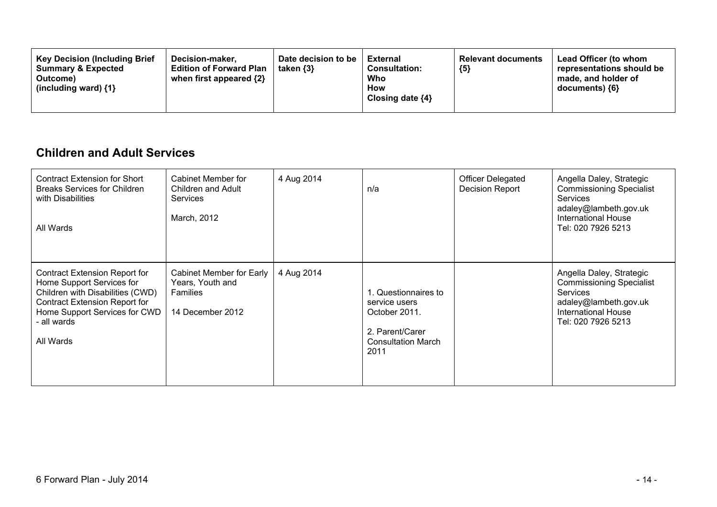| <b>Key Decision (Including Brief</b><br>Decision-maker.<br><b>Summary &amp; Expected</b><br><b>Edition of Forward Plan</b><br>when first appeared $\{2\}$<br>Outcome)<br>(including ward) $\{1\}$ | Date decision to be<br>taken $\{3\}$ | <b>External</b><br><b>Consultation:</b><br>Who<br><b>How</b><br>Closing date $\{4\}$ | <b>Relevant documents</b><br>${5}$ | Lead Officer (to whom<br>representations should be<br>made, and holder of<br>$documents)$ {6} |
|---------------------------------------------------------------------------------------------------------------------------------------------------------------------------------------------------|--------------------------------------|--------------------------------------------------------------------------------------|------------------------------------|-----------------------------------------------------------------------------------------------|
|---------------------------------------------------------------------------------------------------------------------------------------------------------------------------------------------------|--------------------------------------|--------------------------------------------------------------------------------------|------------------------------------|-----------------------------------------------------------------------------------------------|

### **Children and Adult Services**

| <b>Contract Extension for Short</b><br><b>Breaks Services for Children</b><br>with Disabilities<br>All Wards                                                                                             | Cabinet Member for<br>Children and Adult<br><b>Services</b><br>March, 2012   | 4 Aug 2014 | n/a                                                                                                            | <b>Officer Delegated</b><br>Decision Report | Angella Daley, Strategic<br><b>Commissioning Specialist</b><br><b>Services</b><br>adaley@lambeth.gov.uk<br><b>International House</b><br>Tel: 020 7926 5213 |
|----------------------------------------------------------------------------------------------------------------------------------------------------------------------------------------------------------|------------------------------------------------------------------------------|------------|----------------------------------------------------------------------------------------------------------------|---------------------------------------------|-------------------------------------------------------------------------------------------------------------------------------------------------------------|
| <b>Contract Extension Report for</b><br>Home Support Services for<br>Children with Disabilities (CWD)<br><b>Contract Extension Report for</b><br>Home Support Services for CWD<br>all wards<br>All Wards | Cabinet Member for Early<br>Years, Youth and<br>Families<br>14 December 2012 | 4 Aug 2014 | 1. Questionnaires to<br>service users<br>October 2011.<br>2. Parent/Carer<br><b>Consultation March</b><br>2011 |                                             | Angella Daley, Strategic<br><b>Commissioning Specialist</b><br><b>Services</b><br>adaley@lambeth.gov.uk<br><b>International House</b><br>Tel: 020 7926 5213 |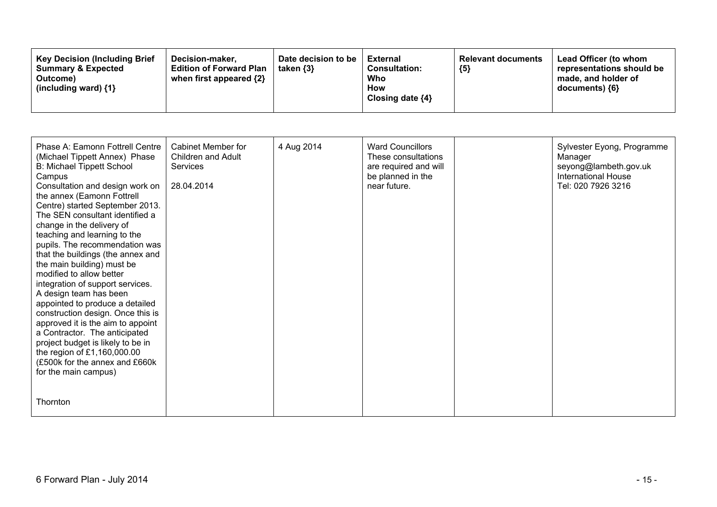| Phase A: Eamonn Fottrell Centre<br>(Michael Tippett Annex) Phase<br><b>B: Michael Tippett School</b><br>Campus<br>Consultation and design work on<br>the annex (Eamonn Fottrell<br>Centre) started September 2013.<br>The SEN consultant identified a<br>change in the delivery of<br>teaching and learning to the<br>pupils. The recommendation was<br>that the buildings (the annex and<br>the main building) must be<br>modified to allow better<br>integration of support services.<br>A design team has been<br>appointed to produce a detailed<br>construction design. Once this is<br>approved it is the aim to appoint<br>a Contractor. The anticipated<br>project budget is likely to be in<br>the region of £1,160,000.00<br>(£500k for the annex and £660k<br>for the main campus) | Cabinet Member for<br><b>Children and Adult</b><br><b>Services</b><br>28.04.2014 | 4 Aug 2014 | <b>Ward Councillors</b><br>These consultations<br>are required and will<br>be planned in the<br>near future. | Sylvester Eyong, Programme<br>Manager<br>seyong@lambeth.gov.uk<br><b>International House</b><br>Tel: 020 7926 3216 |
|-----------------------------------------------------------------------------------------------------------------------------------------------------------------------------------------------------------------------------------------------------------------------------------------------------------------------------------------------------------------------------------------------------------------------------------------------------------------------------------------------------------------------------------------------------------------------------------------------------------------------------------------------------------------------------------------------------------------------------------------------------------------------------------------------|----------------------------------------------------------------------------------|------------|--------------------------------------------------------------------------------------------------------------|--------------------------------------------------------------------------------------------------------------------|
| Thornton                                                                                                                                                                                                                                                                                                                                                                                                                                                                                                                                                                                                                                                                                                                                                                                      |                                                                                  |            |                                                                                                              |                                                                                                                    |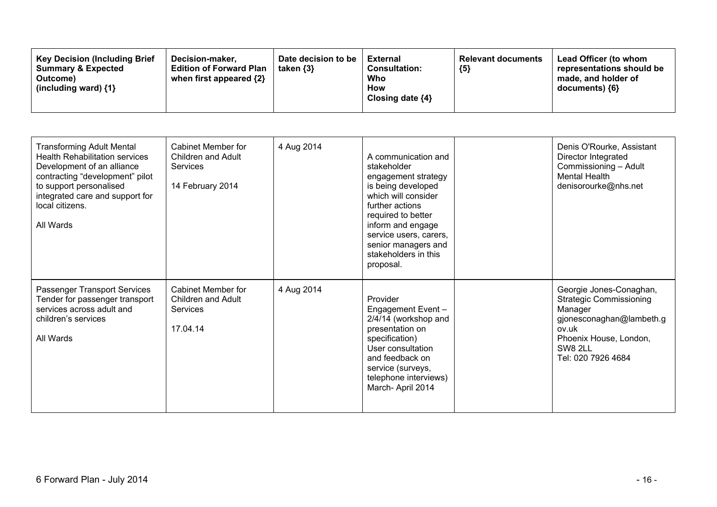| <b>Key Decision (Including Brief)</b><br>Date decision to be<br>Decision-maker,<br><b>Summary &amp; Expected</b><br><b>Edition of Forward Plan</b><br>taken $\{3\}$<br>when first appeared {2}<br>Outcome)<br>(including ward) $\{1\}$ | External<br><b>Consultation:</b><br>Who<br>How<br>Closing date $\{4\}$ | <b>Relevant documents</b><br>${5}$ | <b>Lead Officer (to whom</b><br>representations should be<br>made, and holder of<br>documents) ${6}$ |
|----------------------------------------------------------------------------------------------------------------------------------------------------------------------------------------------------------------------------------------|------------------------------------------------------------------------|------------------------------------|------------------------------------------------------------------------------------------------------|
|----------------------------------------------------------------------------------------------------------------------------------------------------------------------------------------------------------------------------------------|------------------------------------------------------------------------|------------------------------------|------------------------------------------------------------------------------------------------------|

| <b>Transforming Adult Mental</b><br><b>Health Rehabilitation services</b><br>Development of an alliance<br>contracting "development" pilot<br>to support personalised<br>integrated care and support for<br>local citizens.<br>All Wards | <b>Cabinet Member for</b><br>Children and Adult<br><b>Services</b><br>14 February 2014 | 4 Aug 2014 | A communication and<br>stakeholder<br>engagement strategy<br>is being developed<br>which will consider<br>further actions<br>required to better<br>inform and engage<br>service users, carers,<br>senior managers and<br>stakeholders in this<br>proposal. | Denis O'Rourke, Assistant<br>Director Integrated<br>Commissioning - Adult<br><b>Mental Health</b><br>denisorourke@nhs.net                                            |
|------------------------------------------------------------------------------------------------------------------------------------------------------------------------------------------------------------------------------------------|----------------------------------------------------------------------------------------|------------|------------------------------------------------------------------------------------------------------------------------------------------------------------------------------------------------------------------------------------------------------------|----------------------------------------------------------------------------------------------------------------------------------------------------------------------|
| Passenger Transport Services<br>Tender for passenger transport<br>services across adult and<br>children's services<br>All Wards                                                                                                          | <b>Cabinet Member for</b><br>Children and Adult<br><b>Services</b><br>17.04.14         | 4 Aug 2014 | Provider<br>Engagement Event -<br>2/4/14 (workshop and<br>presentation on<br>specification)<br>User consultation<br>and feedback on<br>service (surveys,<br>telephone interviews)<br>March-April 2014                                                      | Georgie Jones-Conaghan,<br><b>Strategic Commissioning</b><br>Manager<br>gjonesconaghan@lambeth.g<br>ov.uk<br>Phoenix House, London,<br>SW8 2LL<br>Tel: 020 7926 4684 |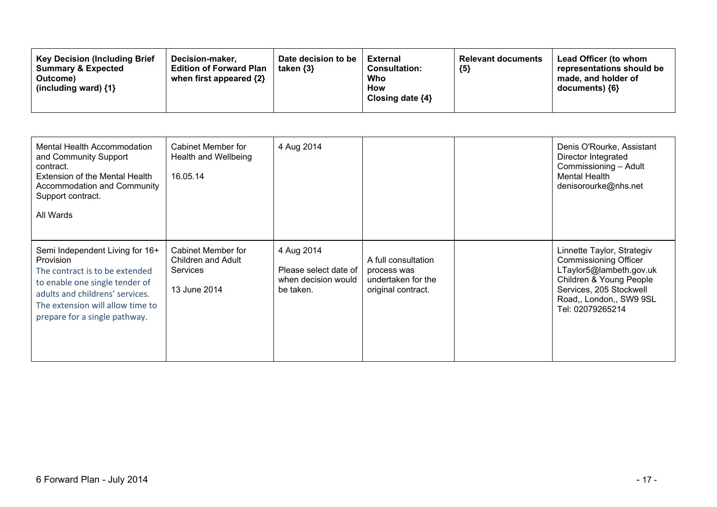| <b>Mental Health Accommodation</b><br>and Community Support<br>contract.<br>Extension of the Mental Health<br>Accommodation and Community<br>Support contract.<br>All Wards                                                     | Cabinet Member for<br>Health and Wellbeing<br>16.05.14               | 4 Aug 2014                                                              |                                                                                | Denis O'Rourke, Assistant<br>Director Integrated<br>Commissioning - Adult<br>Mental Health<br>denisorourke@nhs.net                                                                         |
|---------------------------------------------------------------------------------------------------------------------------------------------------------------------------------------------------------------------------------|----------------------------------------------------------------------|-------------------------------------------------------------------------|--------------------------------------------------------------------------------|--------------------------------------------------------------------------------------------------------------------------------------------------------------------------------------------|
| Semi Independent Living for 16+<br><b>Provision</b><br>The contract is to be extended<br>to enable one single tender of<br>adults and childrens' services.<br>The extension will allow time to<br>prepare for a single pathway. | Cabinet Member for<br>Children and Adult<br>Services<br>13 June 2014 | 4 Aug 2014<br>Please select date of<br>when decision would<br>be taken. | A full consultation<br>process was<br>undertaken for the<br>original contract. | Linnette Taylor, Strategiv<br><b>Commissioning Officer</b><br>LTaylor5@lambeth.gov.uk<br>Children & Young People<br>Services, 205 Stockwell<br>Road,, London,, SW9 9SL<br>Tel: 02079265214 |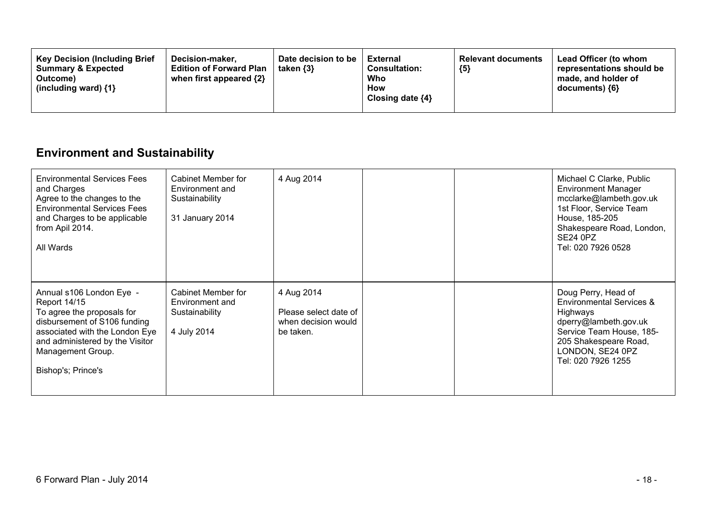| <b>Key Decision (Including Brief</b><br>Decision-maker.<br><b>Summary &amp; Expected</b><br><b>Edition of Forward Plan</b><br>when first appeared $\{2\}$<br>Outcome)<br>(including ward) $\{1\}$ | Date decision to be<br>taken $\{3\}$ | <b>External</b><br><b>Consultation:</b><br>Who<br>How<br>Closing date $\{4\}$ | <b>Relevant documents</b><br>${5}$ | Lead Officer (to whom<br>representations should be<br>made, and holder of<br>documents) {6} |
|---------------------------------------------------------------------------------------------------------------------------------------------------------------------------------------------------|--------------------------------------|-------------------------------------------------------------------------------|------------------------------------|---------------------------------------------------------------------------------------------|
|---------------------------------------------------------------------------------------------------------------------------------------------------------------------------------------------------|--------------------------------------|-------------------------------------------------------------------------------|------------------------------------|---------------------------------------------------------------------------------------------|

# **Environment and Sustainability**

| <b>Environmental Services Fees</b><br>and Charges<br>Agree to the changes to the<br><b>Environmental Services Fees</b><br>and Charges to be applicable<br>from Apil 2014.<br>All Wards                                        | <b>Cabinet Member for</b><br>Environment and<br>Sustainability<br>31 January 2014 | 4 Aug 2014                                                              |  | Michael C Clarke, Public<br><b>Environment Manager</b><br>mcclarke@lambeth.gov.uk<br>1st Floor, Service Team<br>House, 185-205<br>Shakespeare Road, London,<br>SE24 0PZ<br>Tel: 020 7926 0528  |
|-------------------------------------------------------------------------------------------------------------------------------------------------------------------------------------------------------------------------------|-----------------------------------------------------------------------------------|-------------------------------------------------------------------------|--|------------------------------------------------------------------------------------------------------------------------------------------------------------------------------------------------|
| Annual s106 London Eye -<br><b>Report 14/15</b><br>To agree the proposals for<br>disbursement of S106 funding<br>associated with the London Eye<br>and administered by the Visitor<br>Management Group.<br>Bishop's; Prince's | Cabinet Member for<br>Environment and<br>Sustainability<br>4 July 2014            | 4 Aug 2014<br>Please select date of<br>when decision would<br>be taken. |  | Doug Perry, Head of<br><b>Environmental Services &amp;</b><br>Highways<br>dperry@lambeth.gov.uk<br>Service Team House, 185-<br>205 Shakespeare Road,<br>LONDON, SE24 0PZ<br>Tel: 020 7926 1255 |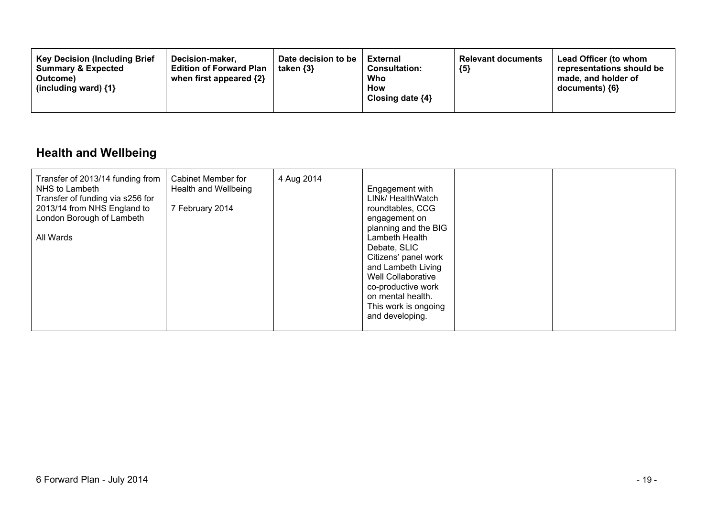| <b>Key Decision (Including Brief</b><br>Decision-maker.<br><b>Summary &amp; Expected</b><br>Outcome)<br>(including ward) $\{1\}$ | Date decision to be<br>taken $\{3\}$<br><b>Edition of Forward Plan</b><br>when first appeared {2} | <b>External</b><br><b>Consultation:</b><br>Who<br>How<br>Closing date $\{4\}$ | <b>Relevant documents</b><br>${5}$ | Lead Officer (to whom<br>representations should be<br>made, and holder of<br>$documents)$ {6} |
|----------------------------------------------------------------------------------------------------------------------------------|---------------------------------------------------------------------------------------------------|-------------------------------------------------------------------------------|------------------------------------|-----------------------------------------------------------------------------------------------|
|----------------------------------------------------------------------------------------------------------------------------------|---------------------------------------------------------------------------------------------------|-------------------------------------------------------------------------------|------------------------------------|-----------------------------------------------------------------------------------------------|

# **Health and Wellbeing**

| Transfer of 2013/14 funding from<br>NHS to Lambeth<br>Transfer of funding via s256 for<br>2013/14 from NHS England to<br>London Borough of Lambeth<br>All Wards | Cabinet Member for<br>Health and Wellbeing<br>7 February 2014 | 4 Aug 2014 | Engagement with<br>LINK/ HealthWatch<br>roundtables, CCG<br>engagement on<br>planning and the BIG<br>Lambeth Health<br>Debate, SLIC<br>Citizens' panel work<br>and Lambeth Living<br>Well Collaborative<br>co-productive work<br>on mental health.<br>This work is ongoing<br>and developing. |  |  |
|-----------------------------------------------------------------------------------------------------------------------------------------------------------------|---------------------------------------------------------------|------------|-----------------------------------------------------------------------------------------------------------------------------------------------------------------------------------------------------------------------------------------------------------------------------------------------|--|--|
|-----------------------------------------------------------------------------------------------------------------------------------------------------------------|---------------------------------------------------------------|------------|-----------------------------------------------------------------------------------------------------------------------------------------------------------------------------------------------------------------------------------------------------------------------------------------------|--|--|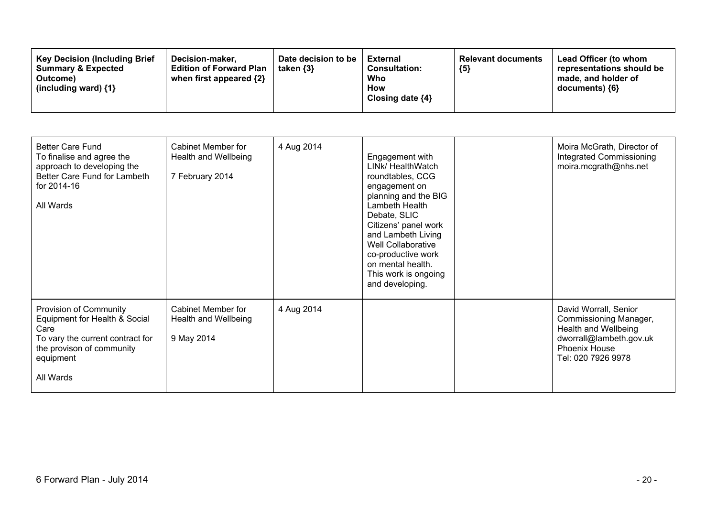| <b>Key Decision (Including Brief</b><br>Decision-maker.<br><b>Edition of Forward Plan</b><br><b>Summary &amp; Expected</b><br>when first appeared {2}<br>Outcome)<br>(including ward) $\{1\}$ | Date decision to be<br>taken $\{3\}$ | <b>External</b><br><b>Consultation:</b><br>Who<br>How<br>Closing date $\{4\}$ | <b>Relevant documents</b><br>${5}$ | Lead Officer (to whom<br>representations should be<br>made, and holder of<br>$documents)$ {6} |
|-----------------------------------------------------------------------------------------------------------------------------------------------------------------------------------------------|--------------------------------------|-------------------------------------------------------------------------------|------------------------------------|-----------------------------------------------------------------------------------------------|
|-----------------------------------------------------------------------------------------------------------------------------------------------------------------------------------------------|--------------------------------------|-------------------------------------------------------------------------------|------------------------------------|-----------------------------------------------------------------------------------------------|

| <b>Better Care Fund</b><br>To finalise and agree the<br>approach to developing the<br>Better Care Fund for Lambeth<br>for 2014-16<br>All Wards             | <b>Cabinet Member for</b><br>Health and Wellbeing<br>7 February 2014 | 4 Aug 2014 | Engagement with<br>LINk/ HealthWatch<br>roundtables, CCG<br>engagement on<br>planning and the BIG<br>Lambeth Health<br>Debate, SLIC<br>Citizens' panel work<br>and Lambeth Living<br><b>Well Collaborative</b><br>co-productive work<br>on mental health.<br>This work is ongoing<br>and developing. | Moira McGrath, Director of<br><b>Integrated Commissioning</b><br>moira.mcgrath@nhs.net                                                           |
|------------------------------------------------------------------------------------------------------------------------------------------------------------|----------------------------------------------------------------------|------------|------------------------------------------------------------------------------------------------------------------------------------------------------------------------------------------------------------------------------------------------------------------------------------------------------|--------------------------------------------------------------------------------------------------------------------------------------------------|
| Provision of Community<br>Equipment for Health & Social<br>Care<br>To vary the current contract for<br>the provison of community<br>equipment<br>All Wards | <b>Cabinet Member for</b><br>Health and Wellbeing<br>9 May 2014      | 4 Aug 2014 |                                                                                                                                                                                                                                                                                                      | David Worrall, Senior<br>Commissioning Manager,<br>Health and Wellbeing<br>dworrall@lambeth.gov.uk<br><b>Phoenix House</b><br>Tel: 020 7926 9978 |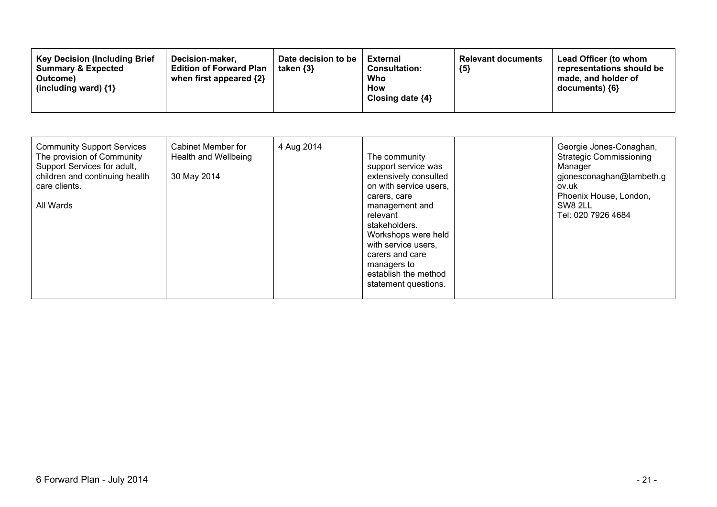| <b>Key Decision (Including Brief)</b><br>Decision-maker,<br><b>Summary &amp; Expected</b><br><b>Edition of Forward Plan</b><br>when first appeared {2}<br>Outcome)<br>(including ward) $\{1\}$ | Date decision to be<br>taken $\{3\}$ | <b>External</b><br><b>Consultation:</b><br>Who<br>How<br>Closing date $\{4\}$ | <b>Relevant documents</b><br>${5}$ | <b>Lead Officer (to whom</b><br>representations should be<br>made, and holder of<br>documents) ${6}$ |
|------------------------------------------------------------------------------------------------------------------------------------------------------------------------------------------------|--------------------------------------|-------------------------------------------------------------------------------|------------------------------------|------------------------------------------------------------------------------------------------------|
|------------------------------------------------------------------------------------------------------------------------------------------------------------------------------------------------|--------------------------------------|-------------------------------------------------------------------------------|------------------------------------|------------------------------------------------------------------------------------------------------|

| <b>Community Support Services</b><br>The provision of Community<br>Support Services for adult,<br>children and continuing health<br>care clients.<br>All Wards | Cabinet Member for<br>Health and Wellbeing<br>30 May 2014 | 4 Aug 2014 | The community<br>support service was<br>extensively consulted<br>on with service users,<br>carers, care<br>management and<br>relevant<br>stakeholders.<br>Workshops were held<br>with service users,<br>carers and care<br>managers to<br>establish the method<br>statement questions. |  | Georgie Jones-Conaghan,<br><b>Strategic Commissioning</b><br>Manager<br>gjonesconaghan@lambeth.g<br>ov.uk<br>Phoenix House, London,<br>SW8 2LL<br>Tel: 020 7926 4684 |
|----------------------------------------------------------------------------------------------------------------------------------------------------------------|-----------------------------------------------------------|------------|----------------------------------------------------------------------------------------------------------------------------------------------------------------------------------------------------------------------------------------------------------------------------------------|--|----------------------------------------------------------------------------------------------------------------------------------------------------------------------|
|----------------------------------------------------------------------------------------------------------------------------------------------------------------|-----------------------------------------------------------|------------|----------------------------------------------------------------------------------------------------------------------------------------------------------------------------------------------------------------------------------------------------------------------------------------|--|----------------------------------------------------------------------------------------------------------------------------------------------------------------------|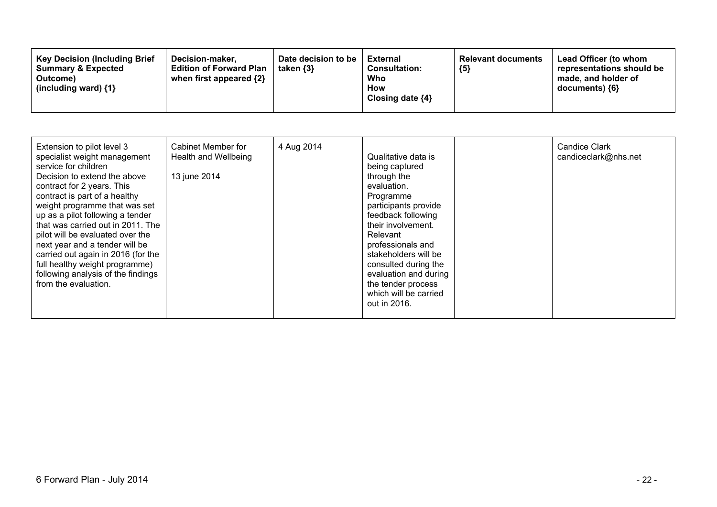| <b>Key Decision (Including Brief</b><br>Decision-maker,<br><b>Summary &amp; Expected</b><br><b>Edition of Forward Plan</b><br>when first appeared {2}<br>Outcome)<br>(including ward) $\{1\}$ | Date decision to be<br>taken $\{3\}$ | External<br><b>Consultation:</b><br>Who<br>How<br>Closing date $\{4\}$ | <b>Relevant documents</b><br>${5}$ | Lead Officer (to whom<br>representations should be<br>made, and holder of<br>documents) {6} |
|-----------------------------------------------------------------------------------------------------------------------------------------------------------------------------------------------|--------------------------------------|------------------------------------------------------------------------|------------------------------------|---------------------------------------------------------------------------------------------|
|-----------------------------------------------------------------------------------------------------------------------------------------------------------------------------------------------|--------------------------------------|------------------------------------------------------------------------|------------------------------------|---------------------------------------------------------------------------------------------|

| Extension to pilot level 3<br>specialist weight management<br>service for children<br>Decision to extend the above<br>contract for 2 years. This<br>contract is part of a healthy<br>weight programme that was set<br>up as a pilot following a tender<br>that was carried out in 2011. The<br>pilot will be evaluated over the<br>next year and a tender will be<br>carried out again in 2016 (for the<br>full healthy weight programme)<br>following analysis of the findings<br>from the evaluation. | Cabinet Member for<br>Health and Wellbeing<br>13 june 2014 | 4 Aug 2014 | Qualitative data is<br>being captured<br>through the<br>evaluation.<br>Programme<br>participants provide<br>feedback following<br>their involvement.<br>Relevant<br>professionals and<br>stakeholders will be<br>consulted during the<br>evaluation and during<br>the tender process<br>which will be carried<br>out in 2016. |  | <b>Candice Clark</b><br>candiceclark@nhs.net |
|---------------------------------------------------------------------------------------------------------------------------------------------------------------------------------------------------------------------------------------------------------------------------------------------------------------------------------------------------------------------------------------------------------------------------------------------------------------------------------------------------------|------------------------------------------------------------|------------|-------------------------------------------------------------------------------------------------------------------------------------------------------------------------------------------------------------------------------------------------------------------------------------------------------------------------------|--|----------------------------------------------|
|---------------------------------------------------------------------------------------------------------------------------------------------------------------------------------------------------------------------------------------------------------------------------------------------------------------------------------------------------------------------------------------------------------------------------------------------------------------------------------------------------------|------------------------------------------------------------|------------|-------------------------------------------------------------------------------------------------------------------------------------------------------------------------------------------------------------------------------------------------------------------------------------------------------------------------------|--|----------------------------------------------|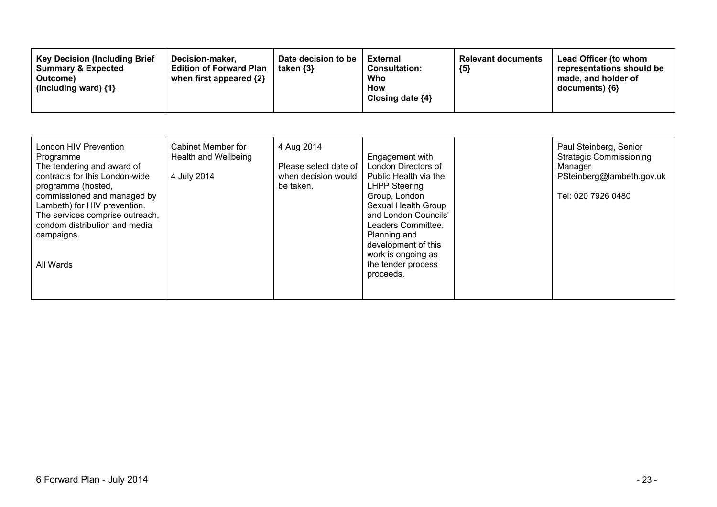| <b>Key Decision (Including Brief)</b><br>Decision-maker.<br><b>Summary &amp; Expected</b><br><b>Edition of Forward Plan</b><br>when first appeared {2}<br>Outcome)<br>(including ward) $\{1\}$ | Date decision to be<br><b>External</b><br><b>Consultation:</b><br>Who<br>How<br>Closing date $\{4\}$ | taken {3} | <b>Relevant documents</b><br>${5}$ | Lead Officer (to whom<br>representations should be<br>made, and holder of<br>$documents)$ {6} |
|------------------------------------------------------------------------------------------------------------------------------------------------------------------------------------------------|------------------------------------------------------------------------------------------------------|-----------|------------------------------------|-----------------------------------------------------------------------------------------------|
|------------------------------------------------------------------------------------------------------------------------------------------------------------------------------------------------|------------------------------------------------------------------------------------------------------|-----------|------------------------------------|-----------------------------------------------------------------------------------------------|

| 4 Aug 2014                      | Paul Steinberg, Senior         |
|---------------------------------|--------------------------------|
| London HIV Prevention           | <b>Strategic Commissioning</b> |
| Cabinet Member for              | Engagement with                |
| Health and Wellbeing            | London Directors of            |
| Programme                       | Manager                        |
| The tendering and award of      | PSteinberg@lambeth.gov.uk      |
| Please select date of           | Public Health via the          |
| contracts for this London-wide  | <b>LHPP Steering</b>           |
| 4 July 2014                     | Tel: 020 7926 0480             |
| when decision would             | Group, London                  |
| be taken.                       | Sexual Health Group            |
| programme (hosted,              | and London Councils'           |
| commissioned and managed by     | Leaders Committee.             |
| Lambeth) for HIV prevention.    | Planning and                   |
| The services comprise outreach, | development of this            |
| condom distribution and media   | work is ongoing as             |
| campaigns.                      | the tender process             |
| All Wards                       | proceeds.                      |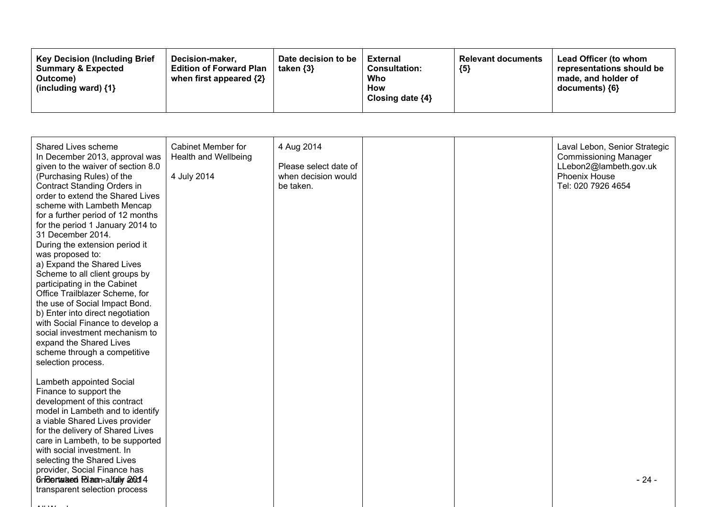| <b>Key Decision (Including Brief</b><br>Decision-maker.<br><b>Summary &amp; Expected</b><br><b>Edition of Forward Plan</b><br>when first appeared $\{2\}$<br>Outcome)<br>(including ward) $\{1\}$ | Date decision to be<br>taken {3} | <b>External</b><br><b>Consultation:</b><br>Who<br>How<br>Closing date ${4}$ | <b>Relevant documents</b><br>${5}$ | <b>Lead Officer (to whom</b><br>representations should be<br>made, and holder of<br>documents) ${6}$ |
|---------------------------------------------------------------------------------------------------------------------------------------------------------------------------------------------------|----------------------------------|-----------------------------------------------------------------------------|------------------------------------|------------------------------------------------------------------------------------------------------|
|---------------------------------------------------------------------------------------------------------------------------------------------------------------------------------------------------|----------------------------------|-----------------------------------------------------------------------------|------------------------------------|------------------------------------------------------------------------------------------------------|

| Shared Lives scheme<br>In December 2013, approval was<br>given to the waiver of section 8.0<br>(Purchasing Rules) of the<br><b>Contract Standing Orders in</b><br>order to extend the Shared Lives<br>scheme with Lambeth Mencap<br>for a further period of 12 months<br>for the period 1 January 2014 to<br>31 December 2014.<br>During the extension period it<br>was proposed to:<br>a) Expand the Shared Lives<br>Scheme to all client groups by<br>participating in the Cabinet<br>Office Trailblazer Scheme, for<br>the use of Social Impact Bond.<br>b) Enter into direct negotiation<br>with Social Finance to develop a<br>social investment mechanism to<br>expand the Shared Lives<br>scheme through a competitive<br>selection process. | <b>Cabinet Member for</b><br>Health and Wellbeing<br>4 July 2014 | 4 Aug 2014<br>Please select date of<br>when decision would<br>be taken. |  | Laval Lebon, Senior Strategic<br><b>Commissioning Manager</b><br>LLebon2@lambeth.gov.uk<br>Phoenix House<br>Tel: 020 7926 4654 |
|-----------------------------------------------------------------------------------------------------------------------------------------------------------------------------------------------------------------------------------------------------------------------------------------------------------------------------------------------------------------------------------------------------------------------------------------------------------------------------------------------------------------------------------------------------------------------------------------------------------------------------------------------------------------------------------------------------------------------------------------------------|------------------------------------------------------------------|-------------------------------------------------------------------------|--|--------------------------------------------------------------------------------------------------------------------------------|
| Lambeth appointed Social<br>Finance to support the<br>development of this contract<br>model in Lambeth and to identify<br>a viable Shared Lives provider<br>for the delivery of Shared Lives<br>care in Lambeth, to be supported<br>with social investment. In<br>selecting the Shared Lives<br>provider, Social Finance has<br>6 refert a ked fel aum-alfaly 20014<br>transparent selection process                                                                                                                                                                                                                                                                                                                                                |                                                                  |                                                                         |  | $-24-$                                                                                                                         |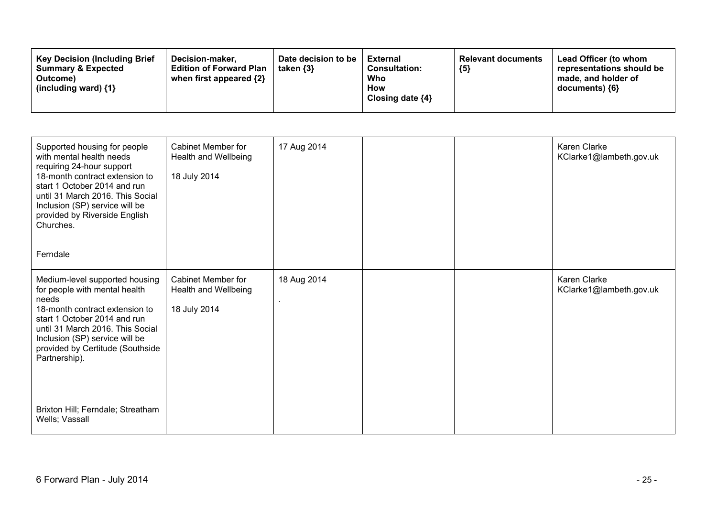| Supported housing for people<br>with mental health needs<br>requiring 24-hour support<br>18-month contract extension to<br>start 1 October 2014 and run<br>until 31 March 2016. This Social<br>Inclusion (SP) service will be<br>provided by Riverside English<br>Churches.<br>Ferndale                                      | <b>Cabinet Member for</b><br>Health and Wellbeing<br>18 July 2014 | 17 Aug 2014 |  | Karen Clarke<br>KClarke1@lambeth.gov.uk |
|------------------------------------------------------------------------------------------------------------------------------------------------------------------------------------------------------------------------------------------------------------------------------------------------------------------------------|-------------------------------------------------------------------|-------------|--|-----------------------------------------|
| Medium-level supported housing<br>for people with mental health<br>needs<br>18-month contract extension to<br>start 1 October 2014 and run<br>until 31 March 2016. This Social<br>Inclusion (SP) service will be<br>provided by Certitude (Southside<br>Partnership).<br>Brixton Hill; Ferndale; Streatham<br>Wells; Vassall | <b>Cabinet Member for</b><br>Health and Wellbeing<br>18 July 2014 | 18 Aug 2014 |  | Karen Clarke<br>KClarke1@lambeth.gov.uk |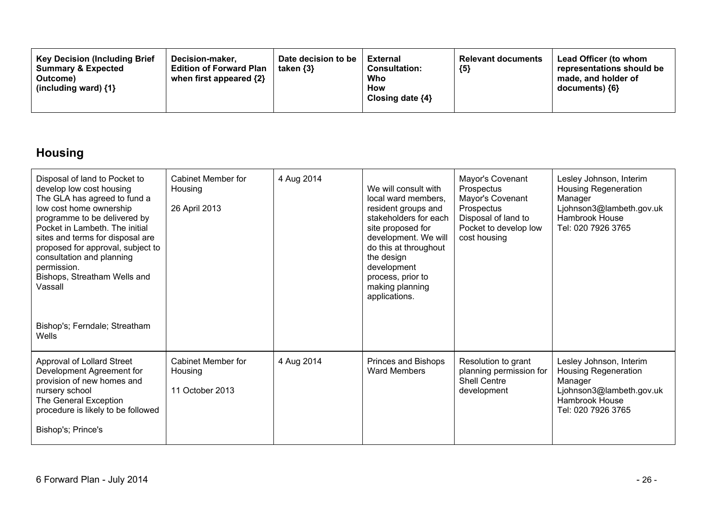| <b>Key Decision (Including Brief</b><br>Decision-maker.<br><b>Summary &amp; Expected</b><br><b>Edition of Forward Plan</b><br>when first appeared {2}<br>Outcome)<br>(including ward) {1} | Date decision to be<br>taken $\{3\}$ | <b>External</b><br><b>Consultation:</b><br>Who<br>How<br>Closing date $\{4\}$ | <b>Relevant documents</b><br>${5}$ | <b>Lead Officer (to whom</b><br>representations should be<br>made, and holder of<br>$documents)$ {6} |
|-------------------------------------------------------------------------------------------------------------------------------------------------------------------------------------------|--------------------------------------|-------------------------------------------------------------------------------|------------------------------------|------------------------------------------------------------------------------------------------------|
|-------------------------------------------------------------------------------------------------------------------------------------------------------------------------------------------|--------------------------------------|-------------------------------------------------------------------------------|------------------------------------|------------------------------------------------------------------------------------------------------|

# **Housing**

| Disposal of land to Pocket to<br>develop low cost housing<br>The GLA has agreed to fund a<br>low cost home ownership<br>programme to be delivered by<br>Pocket in Lambeth. The initial<br>sites and terms for disposal are<br>proposed for approval, subject to<br>consultation and planning<br>permission.<br>Bishops, Streatham Wells and<br>Vassall | Cabinet Member for<br>Housing<br>26 April 2013   | 4 Aug 2014 | We will consult with<br>local ward members.<br>resident groups and<br>stakeholders for each<br>site proposed for<br>development. We will<br>do this at throughout<br>the design<br>development<br>process, prior to<br>making planning<br>applications. | Mayor's Covenant<br>Prospectus<br>Mayor's Covenant<br>Prospectus<br>Disposal of land to<br>Pocket to develop low<br>cost housing | Lesley Johnson, Interim<br><b>Housing Regeneration</b><br>Manager<br>Ljohnson3@lambeth.gov.uk<br>Hambrook House<br>Tel: 020 7926 3765 |
|--------------------------------------------------------------------------------------------------------------------------------------------------------------------------------------------------------------------------------------------------------------------------------------------------------------------------------------------------------|--------------------------------------------------|------------|---------------------------------------------------------------------------------------------------------------------------------------------------------------------------------------------------------------------------------------------------------|----------------------------------------------------------------------------------------------------------------------------------|---------------------------------------------------------------------------------------------------------------------------------------|
| Bishop's; Ferndale; Streatham<br>Wells                                                                                                                                                                                                                                                                                                                 |                                                  |            |                                                                                                                                                                                                                                                         |                                                                                                                                  |                                                                                                                                       |
| Approval of Lollard Street<br>Development Agreement for<br>provision of new homes and<br>nursery school<br>The General Exception<br>procedure is likely to be followed<br>Bishop's; Prince's                                                                                                                                                           | Cabinet Member for<br>Housing<br>11 October 2013 | 4 Aug 2014 | Princes and Bishops<br><b>Ward Members</b>                                                                                                                                                                                                              | Resolution to grant<br>planning permission for<br><b>Shell Centre</b><br>development                                             | Lesley Johnson, Interim<br><b>Housing Regeneration</b><br>Manager<br>Ljohnson3@lambeth.gov.uk<br>Hambrook House<br>Tel: 020 7926 3765 |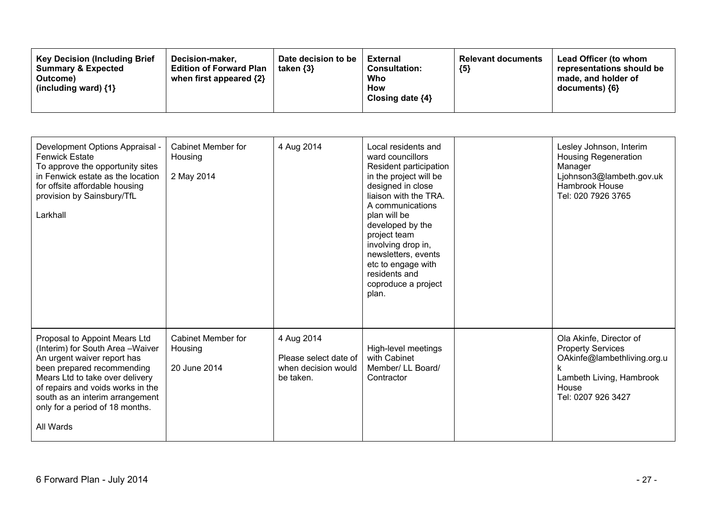| <b>Key Decision (Including Brief)</b><br>Decision-maker,<br>Summary & Expected<br><b>Edition of Forward Plan</b><br>when first appeared {2}<br>Outcome)<br>$(includingward)$ {1} | Date decision to be<br>taken $\{3\}$ | <b>External</b><br><b>Consultation:</b><br>Who<br>How<br>Closing date {4} | <b>Relevant documents</b><br>${5}$ | Lead Officer (to whom<br>representations should be<br>made, and holder of<br>documents) {6} |
|----------------------------------------------------------------------------------------------------------------------------------------------------------------------------------|--------------------------------------|---------------------------------------------------------------------------|------------------------------------|---------------------------------------------------------------------------------------------|
|----------------------------------------------------------------------------------------------------------------------------------------------------------------------------------|--------------------------------------|---------------------------------------------------------------------------|------------------------------------|---------------------------------------------------------------------------------------------|

| Development Options Appraisal -<br><b>Fenwick Estate</b><br>To approve the opportunity sites<br>in Fenwick estate as the location<br>for offsite affordable housing<br>provision by Sainsbury/TfL<br>Larkhall                                                                              | Cabinet Member for<br>Housing<br>2 May 2014          | 4 Aug 2014                                                              | Local residents and<br>ward councillors<br>Resident participation<br>in the project will be<br>designed in close<br>liaison with the TRA.<br>A communications<br>plan will be<br>developed by the<br>project team<br>involving drop in,<br>newsletters, events<br>etc to engage with<br>residents and<br>coproduce a project<br>plan. | Lesley Johnson, Interim<br><b>Housing Regeneration</b><br>Manager<br>Ljohnson3@lambeth.gov.uk<br>Hambrook House<br>Tel: 020 7926 3765         |
|--------------------------------------------------------------------------------------------------------------------------------------------------------------------------------------------------------------------------------------------------------------------------------------------|------------------------------------------------------|-------------------------------------------------------------------------|---------------------------------------------------------------------------------------------------------------------------------------------------------------------------------------------------------------------------------------------------------------------------------------------------------------------------------------|-----------------------------------------------------------------------------------------------------------------------------------------------|
| Proposal to Appoint Mears Ltd<br>(Interim) for South Area - Waiver<br>An urgent waiver report has<br>been prepared recommending<br>Mears Ltd to take over delivery<br>of repairs and voids works in the<br>south as an interim arrangement<br>only for a period of 18 months.<br>All Wards | <b>Cabinet Member for</b><br>Housing<br>20 June 2014 | 4 Aug 2014<br>Please select date of<br>when decision would<br>be taken. | High-level meetings<br>with Cabinet<br>Member/ LL Board/<br>Contractor                                                                                                                                                                                                                                                                | Ola Akinfe, Director of<br><b>Property Services</b><br>OAkinfe@lambethliving.org.u<br>Lambeth Living, Hambrook<br>House<br>Tel: 0207 926 3427 |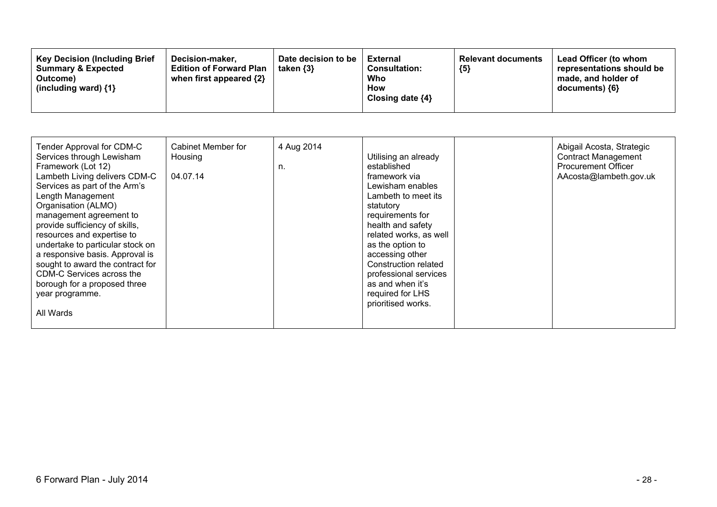| <b>Key Decision (Including Brief)</b><br>Decision-maker,<br><b>Summary &amp; Expected</b><br><b>Edition of Forward Plan</b><br>when first appeared {2}<br>Outcome)<br>(including ward) $\{1\}$ | Date decision to be<br>taken $\{3\}$ | <b>External</b><br><b>Consultation:</b><br>Who<br>How<br>Closing date $\{4\}$ | <b>Relevant documents</b><br>${5}$ | Lead Officer (to whom<br>representations should be<br>made, and holder of<br>$documents)$ {6} |
|------------------------------------------------------------------------------------------------------------------------------------------------------------------------------------------------|--------------------------------------|-------------------------------------------------------------------------------|------------------------------------|-----------------------------------------------------------------------------------------------|
|------------------------------------------------------------------------------------------------------------------------------------------------------------------------------------------------|--------------------------------------|-------------------------------------------------------------------------------|------------------------------------|-----------------------------------------------------------------------------------------------|

| Tender Approval for CDM-C<br>Services through Lewisham<br>Framework (Lot 12)<br>Lambeth Living delivers CDM-C<br>Services as part of the Arm's<br>Length Management<br>Organisation (ALMO)<br>management agreement to<br>provide sufficiency of skills,<br>resources and expertise to<br>undertake to particular stock on<br>a responsive basis. Approval is<br>sought to award the contract for<br>CDM-C Services across the<br>borough for a proposed three<br>year programme.<br>All Wards | <b>Cabinet Member for</b><br>Housing<br>04.07.14 | 4 Aug 2014<br>n. | Utilising an already<br>established<br>framework via<br>Lewisham enables<br>Lambeth to meet its<br>statutory<br>requirements for<br>health and safety<br>related works, as well<br>as the option to<br>accessing other<br>Construction related<br>professional services<br>as and when it's<br>required for LHS<br>prioritised works. |  | Abigail Acosta, Strategic<br><b>Contract Management</b><br><b>Procurement Officer</b><br>AAcosta@lambeth.gov.uk |
|-----------------------------------------------------------------------------------------------------------------------------------------------------------------------------------------------------------------------------------------------------------------------------------------------------------------------------------------------------------------------------------------------------------------------------------------------------------------------------------------------|--------------------------------------------------|------------------|---------------------------------------------------------------------------------------------------------------------------------------------------------------------------------------------------------------------------------------------------------------------------------------------------------------------------------------|--|-----------------------------------------------------------------------------------------------------------------|
|-----------------------------------------------------------------------------------------------------------------------------------------------------------------------------------------------------------------------------------------------------------------------------------------------------------------------------------------------------------------------------------------------------------------------------------------------------------------------------------------------|--------------------------------------------------|------------------|---------------------------------------------------------------------------------------------------------------------------------------------------------------------------------------------------------------------------------------------------------------------------------------------------------------------------------------|--|-----------------------------------------------------------------------------------------------------------------|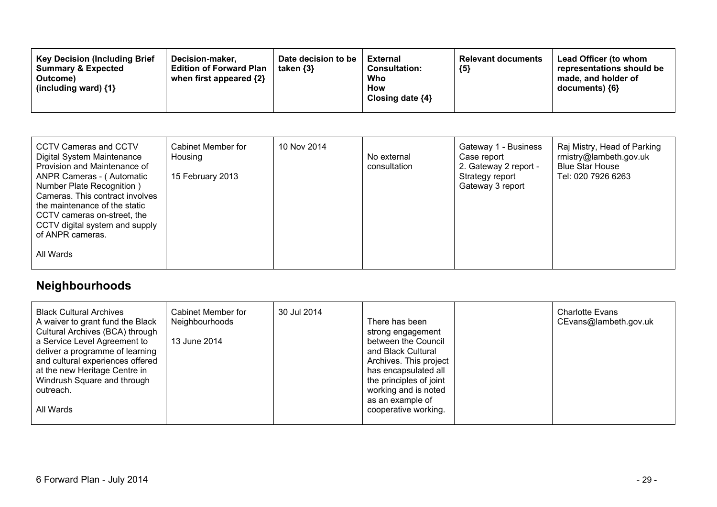| CCTV Cameras and CCTV<br>Digital System Maintenance<br>Provision and Maintenance of<br><b>ANPR Cameras - (Automatic</b><br>Number Plate Recognition)<br>Cameras. This contract involves<br>the maintenance of the static<br>CCTV cameras on-street, the<br>CCTV digital system and supply<br>of ANPR cameras. | Cabinet Member for<br>Housing<br>15 February 2013 | 10 Nov 2014 | No external<br>consultation | Gateway 1 - Business<br>Case report<br>2. Gateway 2 report -<br>Strategy report<br>Gateway 3 report | Raj Mistry, Head of Parking<br>rmistry@lambeth.gov.uk<br><b>Blue Star House</b><br>Tel: 020 7926 6263 |
|---------------------------------------------------------------------------------------------------------------------------------------------------------------------------------------------------------------------------------------------------------------------------------------------------------------|---------------------------------------------------|-------------|-----------------------------|-----------------------------------------------------------------------------------------------------|-------------------------------------------------------------------------------------------------------|
| All Wards                                                                                                                                                                                                                                                                                                     |                                                   |             |                             |                                                                                                     |                                                                                                       |

# **Neighbourhoods**

| <b>Black Cultural Archives</b><br>A waiver to grant fund the Black<br>Cultural Archives (BCA) through<br>a Service Level Agreement to<br>deliver a programme of learning<br>and cultural experiences offered<br>at the new Heritage Centre in<br>Windrush Square and through<br>outreach.<br>All Wards | Cabinet Member for<br>Neighbourhoods<br>13 June 2014 | 30 Jul 2014 | There has been<br>strong engagement<br>between the Council<br>and Black Cultural<br>Archives. This project<br>has encapsulated all<br>the principles of joint<br>working and is noted<br>as an example of<br>cooperative working. | <b>Charlotte Evans</b><br>CEvans@lambeth.gov.uk |
|--------------------------------------------------------------------------------------------------------------------------------------------------------------------------------------------------------------------------------------------------------------------------------------------------------|------------------------------------------------------|-------------|-----------------------------------------------------------------------------------------------------------------------------------------------------------------------------------------------------------------------------------|-------------------------------------------------|
|                                                                                                                                                                                                                                                                                                        |                                                      |             |                                                                                                                                                                                                                                   |                                                 |